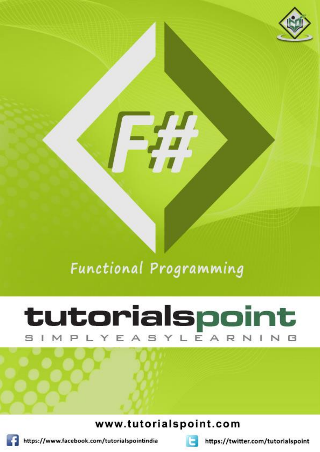

# **Functional Programming**

# tutorialspoint IMPLYEASYLEARNIN

## www.tutorialspoint.com



https://www.facebook.com/tutorialspointindia



https://twitter.com/tutorialspoint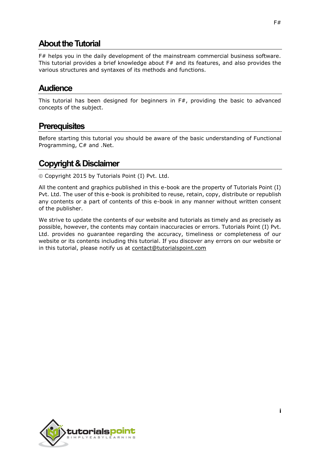## **About the Tutorial**

F# helps you in the daily development of the mainstream commercial business software. This tutorial provides a brief knowledge about F# and its features, and also provides the various structures and syntaxes of its methods and functions.

### **Audience**

This tutorial has been designed for beginners in  $F#$ , providing the basic to advanced concepts of the subject.

### **Prerequisites**

Before starting this tutorial you should be aware of the basic understanding of Functional Programming, C# and .Net.

## **Copyright & Disclaimer**

Copyright 2015 by Tutorials Point (I) Pvt. Ltd.

All the content and graphics published in this e-book are the property of Tutorials Point (I) Pvt. Ltd. The user of this e-book is prohibited to reuse, retain, copy, distribute or republish any contents or a part of contents of this e-book in any manner without written consent of the publisher.

We strive to update the contents of our website and tutorials as timely and as precisely as possible, however, the contents may contain inaccuracies or errors. Tutorials Point (I) Pvt. Ltd. provides no guarantee regarding the accuracy, timeliness or completeness of our website or its contents including this tutorial. If you discover any errors on our website or in this tutorial, please notify us at [contact@tutorialspoint.com](mailto:contact@tutorialspoint.com)

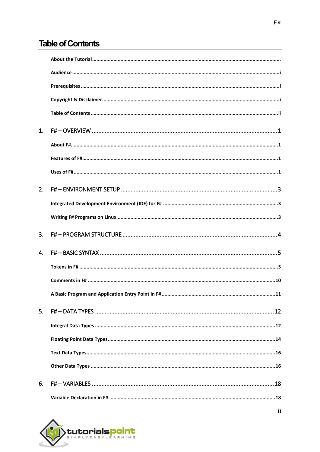## **Table of Contents**

| $\mathbf{1}$ . |                                                          |
|----------------|----------------------------------------------------------|
|                |                                                          |
|                |                                                          |
|                |                                                          |
| 2.             |                                                          |
|                |                                                          |
|                |                                                          |
| 3.             |                                                          |
| $\mathbf{A}$   |                                                          |
|                |                                                          |
|                |                                                          |
|                | A Basic Program and Application Entry Point in F#<br>.11 |
| 5.             |                                                          |
|                |                                                          |
|                |                                                          |
|                |                                                          |
|                |                                                          |
| 6.             |                                                          |
|                |                                                          |



ii.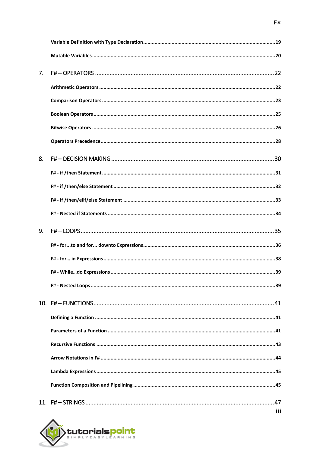| 7.             |     |
|----------------|-----|
|                |     |
|                |     |
|                |     |
|                |     |
|                |     |
| 8.             |     |
|                |     |
|                |     |
|                |     |
|                |     |
| 9 <sub>1</sub> |     |
|                |     |
|                |     |
|                |     |
|                |     |
|                |     |
|                |     |
|                |     |
|                |     |
|                |     |
|                |     |
|                |     |
|                | iii |

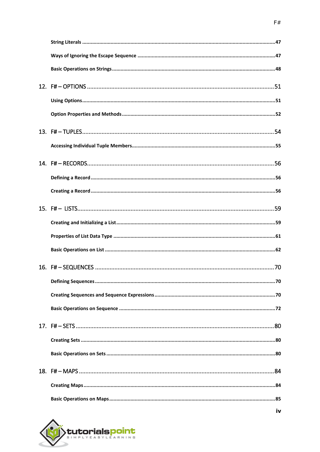

iv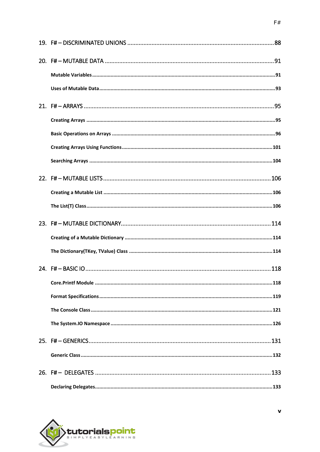

 $\mathbf{v}$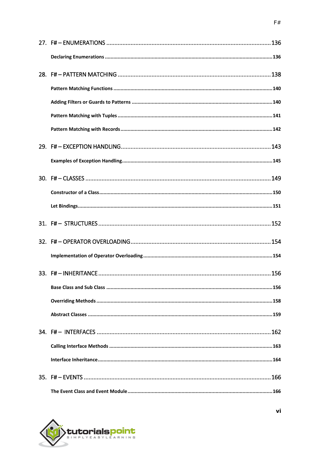

vi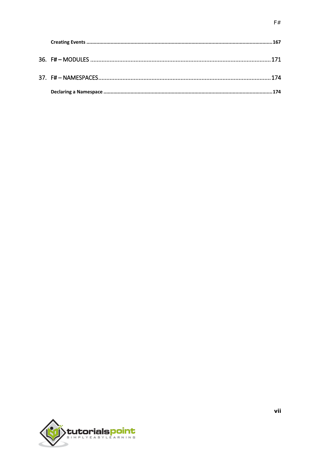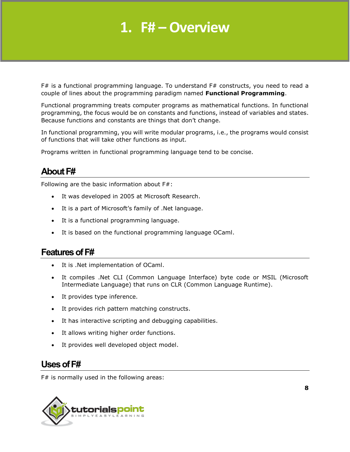## **1. F# – Overview**

F# is a functional programming language. To understand F# constructs, you need to read a couple of lines about the programming paradigm named **Functional Programming**.

Functional programming treats computer programs as mathematical functions. In functional programming, the focus would be on constants and functions, instead of variables and states. Because functions and constants are things that don't change.

In functional programming, you will write modular programs, i.e., the programs would consist of functions that will take other functions as input.

Programs written in functional programming language tend to be concise.

## **About F#**

Following are the basic information about F#:

- It was developed in 2005 at Microsoft Research.
- It is a part of Microsoft's family of .Net language.
- It is a functional programming language.
- It is based on the functional programming language OCaml.

### **Features ofF#**

- It is .Net implementation of OCaml.
- It compiles .Net CLI (Common Language Interface) byte code or MSIL (Microsoft Intermediate Language) that runs on CLR (Common Language Runtime).
- It provides type inference.
- It provides rich pattern matching constructs.
- It has interactive scripting and debugging capabilities.
- It allows writing higher order functions.
- It provides well developed object model.

#### **Usesof F#**

F# is normally used in the following areas:

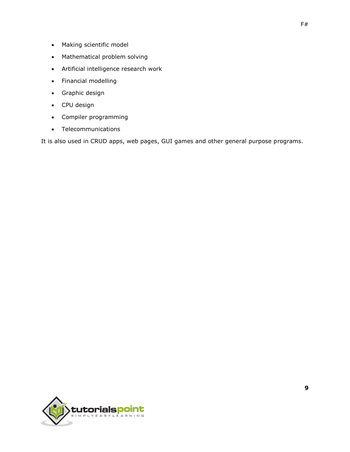- Making scientific model
- Mathematical problem solving
- Artificial intelligence research work
- Financial modelling
- Graphic design
- CPU design
- Compiler programming
- Telecommunications

It is also used in CRUD apps, web pages, GUI games and other general purpose programs.

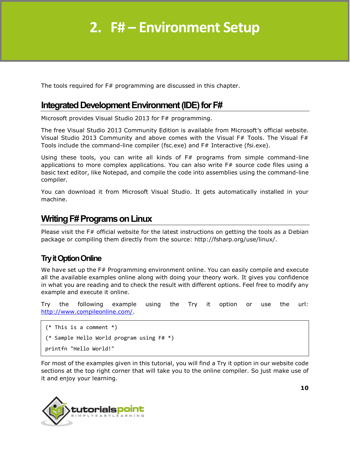## **2. F# – Environment Setup**

The tools required for F# programming are discussed in this chapter.

## **Integrated Development Environment (IDE) for F#**

Microsoft provides Visual Studio 2013 for F# programming.

The free Visual Studio 2013 Community Edition is available from Microsoft's official website. Visual Studio 2013 Community and above comes with the Visual F# Tools. The Visual F# Tools include the command-line compiler (fsc.exe) and F# Interactive (fsi.exe).

Using these tools, you can write all kinds of F# programs from simple command-line applications to more complex applications. You can also write  $F#$  source code files using a basic text editor, like Notepad, and compile the code into assemblies using the command-line compiler.

You can download it from Microsoft Visual Studio. It gets automatically installed in your machine.

## **Writing F# Programs on Linux**

Please visit the F# official website for the latest instructions on getting the tools as a Debian package or compiling them directly from the source: http://fsharp.org/use/linux/.

### **Try it Option Online**

We have set up the F# Programming environment online. You can easily compile and execute all the available examples online along with doing your theory work. It gives you confidence in what you are reading and to check the result with different options. Feel free to modify any example and execute it online.

Try the following example using the Try it option or use the url: [http://www.compileonline.com/.](http://www.compileonline.com/)

```
(* This is a comment *)
(* Sample Hello World program using F# *)
printfn "Hello World!"
```
For most of the examples given in this tutorial, you will find a Try it option in our website code sections at the top right corner that will take you to the online compiler. So just make use of it and enjoy your learning.

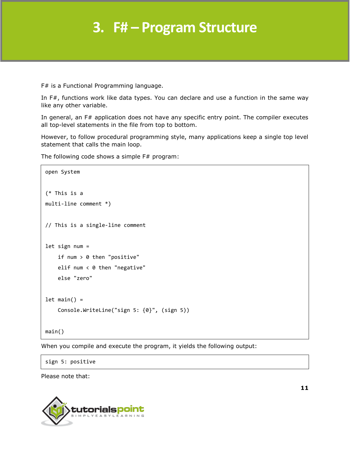F# is a Functional Programming language.

In F#, functions work like data types. You can declare and use a function in the same way like any other variable.

In general, an F# application does not have any specific entry point. The compiler executes all top-level statements in the file from top to bottom.

However, to follow procedural programming style, many applications keep a single top level statement that calls the main loop.

The following code shows a simple F# program:

```
open System
(* This is a
multi-line comment *)
// This is a single-line comment
let sign num =
     if num > 0 then "positive"
     elif num < 0 then "negative"
     else "zero"
let main() = Console.WriteLine("sign 5: {0}", (sign 5))
main()
```
When you compile and execute the program, it yields the following output:

sign 5: positive

Please note that:

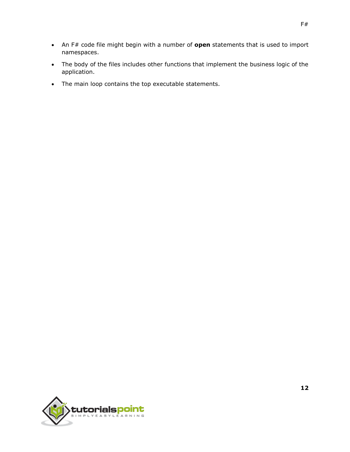- An F# code file might begin with a number of **open** statements that is used to import namespaces.
- The body of the files includes other functions that implement the business logic of the application.
- The main loop contains the top executable statements.

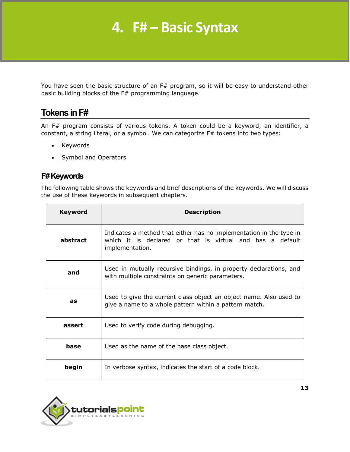## **4. F# – Basic Syntax**

You have seen the basic structure of an F# program, so it will be easy to understand other basic building blocks of the F# programming language.

## **Tokens in F#**

An F# program consists of various tokens. A token could be a keyword, an identifier, a constant, a string literal, or a symbol. We can categorize F# tokens into two types:

- Keywords
- Symbol and Operators

### **F# Keywords**

The following table shows the keywords and brief descriptions of the keywords. We will discuss the use of these keywords in subsequent chapters.

| <b>Keyword</b> | <b>Description</b>                                                                                                                                  |
|----------------|-----------------------------------------------------------------------------------------------------------------------------------------------------|
| abstract       | Indicates a method that either has no implementation in the type in<br>which it is declared or that is virtual and has a default<br>implementation. |
| and            | Used in mutually recursive bindings, in property declarations, and<br>with multiple constraints on generic parameters.                              |
| as             | Used to give the current class object an object name. Also used to<br>give a name to a whole pattern within a pattern match.                        |
| assert         | Used to verify code during debugging.                                                                                                               |
| base           | Used as the name of the base class object.                                                                                                          |
| begin          | In verbose syntax, indicates the start of a code block.                                                                                             |

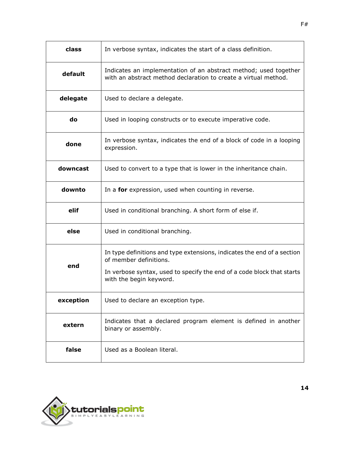| class     | In verbose syntax, indicates the start of a class definition.                                                                                                                                          |
|-----------|--------------------------------------------------------------------------------------------------------------------------------------------------------------------------------------------------------|
| default   | Indicates an implementation of an abstract method; used together<br>with an abstract method declaration to create a virtual method.                                                                    |
| delegate  | Used to declare a delegate.                                                                                                                                                                            |
| do        | Used in looping constructs or to execute imperative code.                                                                                                                                              |
| done      | In verbose syntax, indicates the end of a block of code in a looping<br>expression.                                                                                                                    |
| downcast  | Used to convert to a type that is lower in the inheritance chain.                                                                                                                                      |
| downto    | In a <b>for</b> expression, used when counting in reverse.                                                                                                                                             |
| elif      | Used in conditional branching. A short form of else if.                                                                                                                                                |
| else      | Used in conditional branching.                                                                                                                                                                         |
| end       | In type definitions and type extensions, indicates the end of a section<br>of member definitions.<br>In verbose syntax, used to specify the end of a code block that starts<br>with the begin keyword. |
| exception | Used to declare an exception type.                                                                                                                                                                     |
| extern    | Indicates that a declared program element is defined in another<br>binary or assembly.                                                                                                                 |
| false     | Used as a Boolean literal.                                                                                                                                                                             |

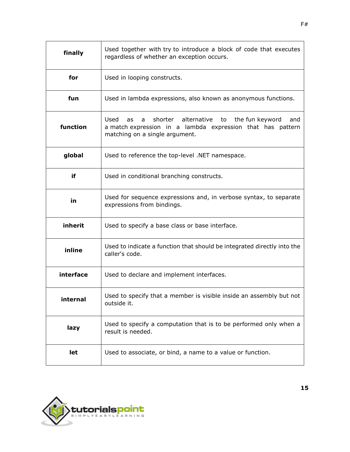| finally   | Used together with try to introduce a block of code that executes<br>regardless of whether an exception occurs.                                                        |
|-----------|------------------------------------------------------------------------------------------------------------------------------------------------------------------------|
| for       | Used in looping constructs.                                                                                                                                            |
| fun       | Used in lambda expressions, also known as anonymous functions.                                                                                                         |
| function  | shorter alternative<br>Used<br>the fun keyword<br>to<br>as<br>and<br>a<br>a match expression in a lambda expression that has pattern<br>matching on a single argument. |
| global    | Used to reference the top-level .NET namespace.                                                                                                                        |
| if        | Used in conditional branching constructs.                                                                                                                              |
| in        | Used for sequence expressions and, in verbose syntax, to separate<br>expressions from bindings.                                                                        |
| inherit   | Used to specify a base class or base interface.                                                                                                                        |
| inline    | Used to indicate a function that should be integrated directly into the<br>caller's code.                                                                              |
| interface | Used to declare and implement interfaces.                                                                                                                              |
| internal  | Used to specify that a member is visible inside an assembly but not<br>outside it.                                                                                     |
| lazy      | Used to specify a computation that is to be performed only when a<br>result is needed.                                                                                 |
| let       | Used to associate, or bind, a name to a value or function.                                                                                                             |

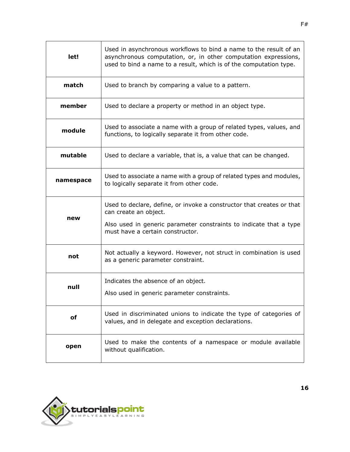| let!      | Used in asynchronous workflows to bind a name to the result of an<br>asynchronous computation, or, in other computation expressions,<br>used to bind a name to a result, which is of the computation type. |
|-----------|------------------------------------------------------------------------------------------------------------------------------------------------------------------------------------------------------------|
| match     | Used to branch by comparing a value to a pattern.                                                                                                                                                          |
| member    | Used to declare a property or method in an object type.                                                                                                                                                    |
| module    | Used to associate a name with a group of related types, values, and<br>functions, to logically separate it from other code.                                                                                |
| mutable   | Used to declare a variable, that is, a value that can be changed.                                                                                                                                          |
| namespace | Used to associate a name with a group of related types and modules,<br>to logically separate it from other code.                                                                                           |
|           | Used to declare, define, or invoke a constructor that creates or that<br>can create an object.                                                                                                             |
| new       | Also used in generic parameter constraints to indicate that a type<br>must have a certain constructor.                                                                                                     |
| not       | Not actually a keyword. However, not struct in combination is used<br>as a generic parameter constraint.                                                                                                   |
| null      | Indicates the absence of an object.                                                                                                                                                                        |
|           | Also used in generic parameter constraints.                                                                                                                                                                |
| οf        | Used in discriminated unions to indicate the type of categories of<br>values, and in delegate and exception declarations.                                                                                  |
| open      | Used to make the contents of a namespace or module available<br>without qualification.                                                                                                                     |

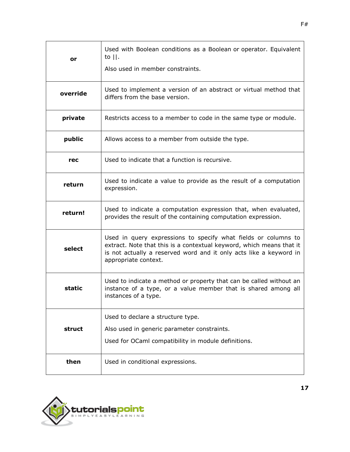| or       | Used with Boolean conditions as a Boolean or operator. Equivalent<br>to $  .$                                                                                                                                                        |
|----------|--------------------------------------------------------------------------------------------------------------------------------------------------------------------------------------------------------------------------------------|
|          | Also used in member constraints.                                                                                                                                                                                                     |
| override | Used to implement a version of an abstract or virtual method that<br>differs from the base version.                                                                                                                                  |
| private  | Restricts access to a member to code in the same type or module.                                                                                                                                                                     |
| public   | Allows access to a member from outside the type.                                                                                                                                                                                     |
| rec      | Used to indicate that a function is recursive.                                                                                                                                                                                       |
| return   | Used to indicate a value to provide as the result of a computation<br>expression.                                                                                                                                                    |
| return!  | Used to indicate a computation expression that, when evaluated,<br>provides the result of the containing computation expression.                                                                                                     |
| select   | Used in query expressions to specify what fields or columns to<br>extract. Note that this is a contextual keyword, which means that it<br>is not actually a reserved word and it only acts like a keyword in<br>appropriate context. |
| static   | Used to indicate a method or property that can be called without an<br>instance of a type, or a value member that is shared among all<br>instances of a type.                                                                        |
|          | Used to declare a structure type.                                                                                                                                                                                                    |
| struct   | Also used in generic parameter constraints.                                                                                                                                                                                          |
|          | Used for OCaml compatibility in module definitions.                                                                                                                                                                                  |
| then     | Used in conditional expressions.                                                                                                                                                                                                     |

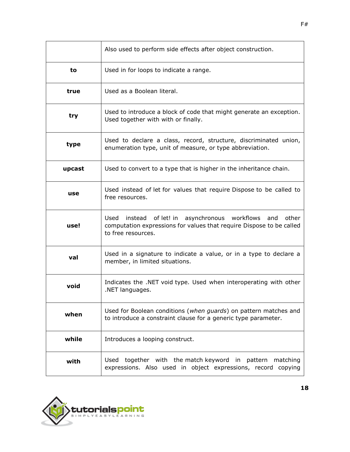|        | Also used to perform side effects after object construction.                                                                                           |
|--------|--------------------------------------------------------------------------------------------------------------------------------------------------------|
| to     | Used in for loops to indicate a range.                                                                                                                 |
| true   | Used as a Boolean literal.                                                                                                                             |
| try    | Used to introduce a block of code that might generate an exception.<br>Used together with with or finally.                                             |
| type   | Used to declare a class, record, structure, discriminated union,<br>enumeration type, unit of measure, or type abbreviation.                           |
| upcast | Used to convert to a type that is higher in the inheritance chain.                                                                                     |
| use    | Used instead of let for values that require Dispose to be called to<br>free resources.                                                                 |
| use!   | Used instead of let! in asynchronous workflows and other<br>computation expressions for values that require Dispose to be called<br>to free resources. |
| val    | Used in a signature to indicate a value, or in a type to declare a<br>member, in limited situations.                                                   |
| void   | Indicates the .NET void type. Used when interoperating with other<br>.NET languages.                                                                   |
| when   | Used for Boolean conditions (when guards) on pattern matches and<br>to introduce a constraint clause for a generic type parameter.                     |
| while  | Introduces a looping construct.                                                                                                                        |
| with   | Used together with the match keyword in pattern<br>matching<br>expressions. Also used in object expressions, record copying                            |

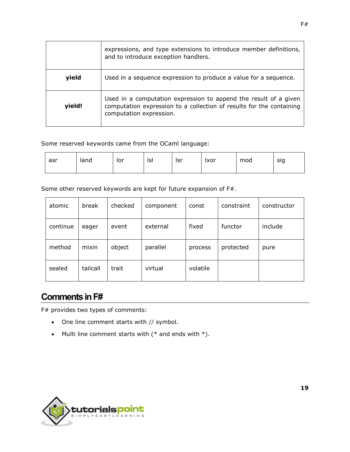|        | expressions, and type extensions to introduce member definitions,<br>and to introduce exception handlers.                                                           |
|--------|---------------------------------------------------------------------------------------------------------------------------------------------------------------------|
| yield  | Used in a sequence expression to produce a value for a sequence.                                                                                                    |
| yield! | Used in a computation expression to append the result of a given<br>computation expression to a collection of results for the containing<br>computation expression. |

Some reserved keywords came from the OCaml language:

| asr | land | lor | Isl | lsr | Ixor | mod | sig |
|-----|------|-----|-----|-----|------|-----|-----|
|     |      |     |     |     |      |     |     |

Some other reserved keywords are kept for future expansion of F#.

| atomic   | break    | checked | component | const    | constraint | constructor |
|----------|----------|---------|-----------|----------|------------|-------------|
| continue | eager    | event   | external  | fixed    | functor    | include     |
| method   | mixin    | object  | parallel  | process  | protected  | pure        |
| sealed   | tailcall | trait   | virtual   | volatile |            |             |

## **Comments in F#**

F# provides two types of comments:

- One line comment starts with // symbol.
- Multi line comment starts with  $(*$  and ends with  $*)$ .

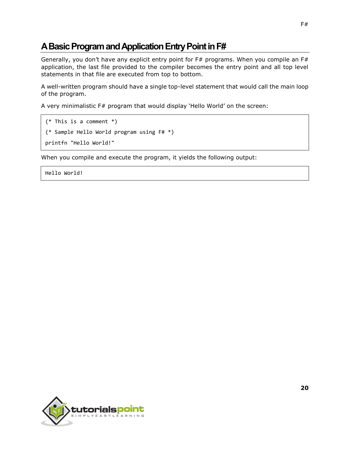## **A Basic Programand Application Entry Point in F#**

Generally, you don't have any explicit entry point for  $F#$  programs. When you compile an  $F#$ application, the last file provided to the compiler becomes the entry point and all top level statements in that file are executed from top to bottom.

A well-written program should have a single top-level statement that would call the main loop of the program.

A very minimalistic F# program that would display 'Hello World' on the screen:

```
(* This is a comment *)
(* Sample Hello World program using F# *)
printfn "Hello World!"
```
When you compile and execute the program, it yields the following output:

Hello World!

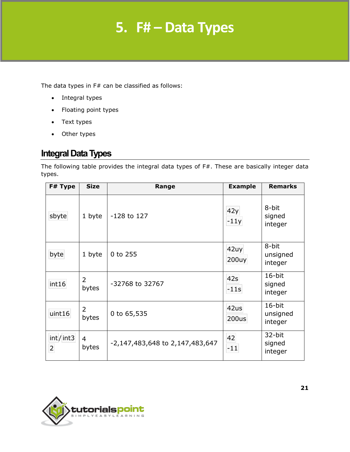## **5. F# – Data Types**

The data types in F# can be classified as follows:

- Integral types
- Floating point types
- Text types
- Other types

## **Integral Data Types**

The following table provides the integral data types of F#. These are basically integer data types.

| F# Type                    | <b>Size</b>             | Range                           | <b>Example</b> | <b>Remarks</b>                |
|----------------------------|-------------------------|---------------------------------|----------------|-------------------------------|
| sbyte                      | 1 byte                  | $-128$ to 127                   | 42y<br>$-11y$  | 8-bit<br>signed<br>integer    |
| byte                       | 1 byte                  | 0 to 255                        | 42uy<br>200uy  | 8-bit<br>unsigned<br>integer  |
| int16                      | $\overline{2}$<br>bytes | -32768 to 32767                 | 42s<br>$-11s$  | 16-bit<br>signed<br>integer   |
| uint16                     | 2<br>bytes              | 0 to 65,535                     | 42us<br>200us  | 16-bit<br>unsigned<br>integer |
| int/int3<br>$\overline{a}$ | $\overline{4}$<br>bytes | -2,147,483,648 to 2,147,483,647 | 42<br>$-11$    | 32-bit<br>signed<br>integer   |

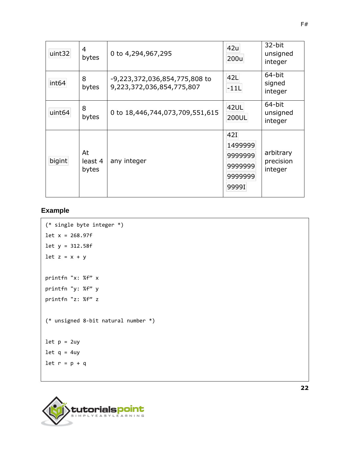| uint32             | 4<br>bytes             | 0 to 4,294,967,295                                         | 42u<br>200u                                              | 32-bit<br>unsigned<br>integer     |
|--------------------|------------------------|------------------------------------------------------------|----------------------------------------------------------|-----------------------------------|
| int <sub>64</sub>  | 8<br>bytes             | -9,223,372,036,854,775,808 to<br>9,223,372,036,854,775,807 | 42L<br>$-11L$                                            | 64-bit<br>signed<br>integer       |
| uint <sub>64</sub> | 8<br>bytes             | 0 to 18,446,744,073,709,551,615                            | 42UL<br>200UL                                            | 64-bit<br>unsigned<br>integer     |
| bigint             | At<br>least 4<br>bytes | any integer                                                | 42I<br>1499999<br>9999999<br>9999999<br>9999999<br>9999I | arbitrary<br>precision<br>integer |

#### **Example**

```
(* single byte integer *)
let x = 268.97f
let y = 312.58f
let z = x + yprintfn "x: %f" x
printfn "y: %f" y
printfn "z: %f" z
(* unsigned 8-bit natural number *)
let p = 2uylet q = 4uylet r = p + q
```
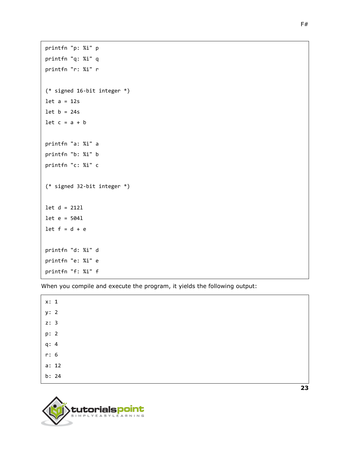```
printfn "p: %i" p
printfn "q: %i" q
printfn "r: %i" r
(* signed 16-bit integer *)
let a = 12slet b = 24slet c = a + bprintfn "a: %i" a
printfn "b: %i" b
printfn "c: %i" c
(* signed 32-bit integer *)
let d = 212l
let e = 504l
let f = d + eprintfn "d: %i" d
printfn "e: %i" e
printfn "f: %i" f
```

| x: 1 |       |  |
|------|-------|--|
| y: 2 |       |  |
| z: 3 |       |  |
| p: 2 |       |  |
| q: 4 |       |  |
| r: 6 |       |  |
|      | a: 12 |  |
|      | b: 24 |  |
|      |       |  |

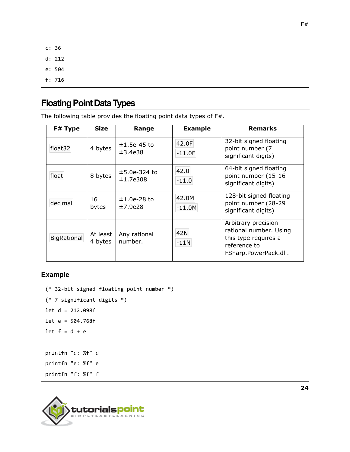c: 36 d: 212 e: 504 f: 716

## **Floating Point Data Types**

The following table provides the floating point data types of F#.

| F# Type     | <b>Size</b>         | Range                      | <b>Example</b>    | <b>Remarks</b>                                                                                                 |
|-------------|---------------------|----------------------------|-------------------|----------------------------------------------------------------------------------------------------------------|
| float32     | 4 bytes             | $±1.5e-45$ to<br>±3.4e38   | 42.0F<br>$-11.0F$ | 32-bit signed floating<br>point number (7<br>significant digits)                                               |
| float       | 8 bytes             | $±5.0e-324$ to<br>±1,7e308 | 42.0<br>$-11.0$   | 64-bit signed floating<br>point number (15-16<br>significant digits)                                           |
| decimal     | 16<br>bytes         | $±1.0e-28$ to<br>±7.9e28   | 42.0M<br>$-11.0M$ | 128-bit signed floating<br>point number (28-29<br>significant digits)                                          |
| BigRational | At least<br>4 bytes | Any rational<br>number.    | 42N<br>$-11N$     | Arbitrary precision<br>rational number. Using<br>this type requires a<br>reference to<br>FSharp.PowerPack.dll. |

#### **Example**

```
(* 32-bit signed floating point number *)
(* 7 significant digits *)
let d = 212.098f
let e = 504.768f
let f = d + eprintfn "d: %f" d
printfn "e: %f" e
printfn "f: %f" f
```
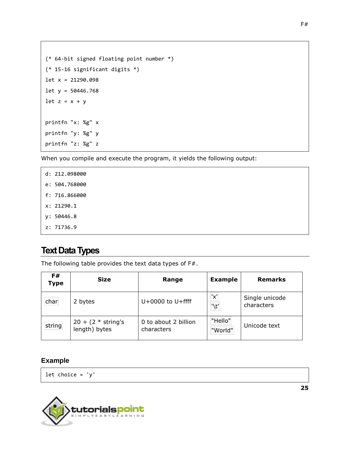```
(* 64-bit signed floating point number *)
(* 15-16 significant digits *)
let x = 21290.098
let y = 50446.768
let z = x + yprintfn "x: %g" x
printfn "y: %g" y
printfn "z: %g" z
```

| d: 212.098000 |
|---------------|
| e: 504.768000 |
| f: 716.866000 |
| x: 21290.1    |
| v: 50446.8    |
| z: 71736.9    |

## **Text Data Types**

The following table provides the text data types of F#.

| F#<br><b>Type</b> | <b>Size</b>                            | Range                              | <b>Example</b>     | <b>Remarks</b>               |
|-------------------|----------------------------------------|------------------------------------|--------------------|------------------------------|
| char              | 2 bytes                                | $U+0000$ to $U+$ ffff              | 'x'<br>"\t"        | Single unicode<br>characters |
| string            | $20 + (2 * string's)$<br>length) bytes | 0 to about 2 billion<br>characters | "Hello"<br>"World" | Unicode text                 |

#### **Example**

let choice =  $'y'$ 

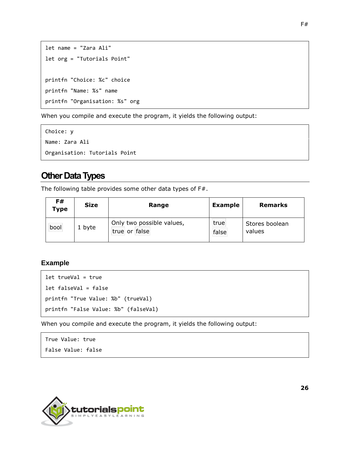```
let name = "Zara Ali"
let org = "Tutorials Point"
printfn "Choice: %c" choice
printfn "Name: %s" name
printfn "Organisation: %s" org
```

```
Choice: y 
Name: Zara Ali 
Organisation: Tutorials Point
```
## **Other Data Types**

The following table provides some other data types of F#.

| F#<br><b>Type</b> | <b>Size</b> | Range                                      | <b>Example</b> | <b>Remarks</b>           |
|-------------------|-------------|--------------------------------------------|----------------|--------------------------|
| bool              | 1 byte      | Only two possible values,<br>true or false | true<br>false  | Stores boolean<br>values |

#### **Example**

```
let trueVal = true
let falseVal = false
printfn "True Value: %b" (trueVal)
printfn "False Value: %b" (falseVal)
```
When you compile and execute the program, it yields the following output:

```
True Value: true 
False Value: false
```
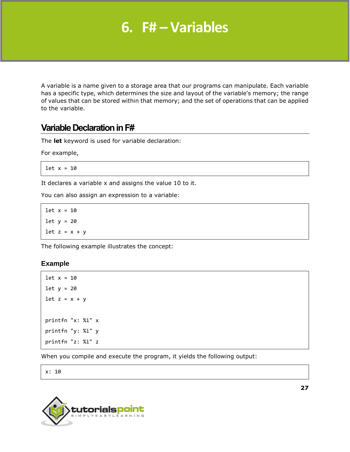## **6. F# – Variables**

A variable is a name given to a storage area that our programs can manipulate. Each variable has a specific type, which determines the size and layout of the variable's memory; the range of values that can be stored within that memory; and the set of operations that can be applied to the variable.

## **Variable Declaration in F#**

The **let** keyword is used for variable declaration:

For example,

let  $x = 10$ 

It declares a variable x and assigns the value 10 to it.

You can also assign an expression to a variable:

let  $x = 10$ let  $y = 20$ let  $z = x + y$ 

The following example illustrates the concept:

#### **Example**

```
let x = 10let y = 20let z = x + yprintfn "x: %i" x
printfn "y: %i" y
printfn "z: %i" z
```
When you compile and execute the program, it yields the following output:

x: 10

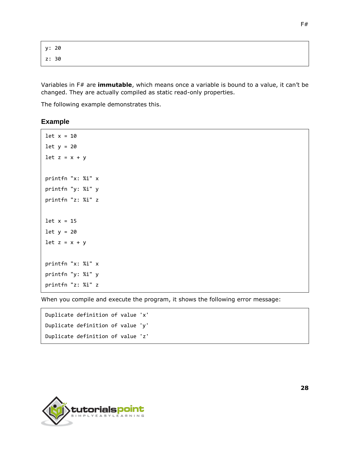y: 20 z: 30

Variables in F# are **immutable**, which means once a variable is bound to a value, it can't be changed. They are actually compiled as static read-only properties.

The following example demonstrates this.

#### **Example**

```
let x = 10let y = 20let z = x + yprintfn "x: %i" x
printfn "y: %i" y
printfn "z: %i" z
let x = 15let y = 20let z = x + yprintfn "x: %i" x
printfn "y: %i" y
printfn "z: %i" z
```
When you compile and execute the program, it shows the following error message:

```
Duplicate definition of value 'x'
Duplicate definition of value 'y'
Duplicate definition of value 'z'
```
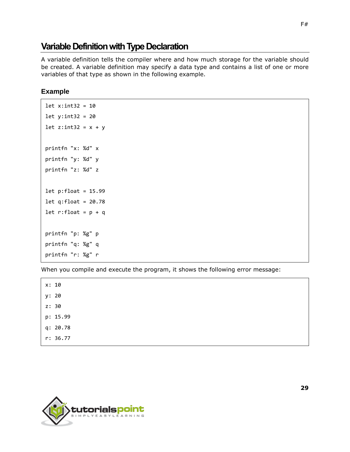## **Variable Definition with Type Declaration**

A variable definition tells the compiler where and how much storage for the variable should be created. A variable definition may specify a data type and contains a list of one or more variables of that type as shown in the following example.

#### **Example**

```
let x:int32 = 10let y:int32 = 20let z:int32 = x + yprintfn "x: %d" x
printfn "y: %d" y
printfn "z: %d" z
let p:float = 15.99
let q:float = 20.78let r:float = p + qprintfn "p: %g" p
printfn "q: %g" q
printfn "r: %g" r
```
When you compile and execute the program, it shows the following error message:

x: 10 y: 20 z: 30 p: 15.99 q: 20.78

r: 36.77

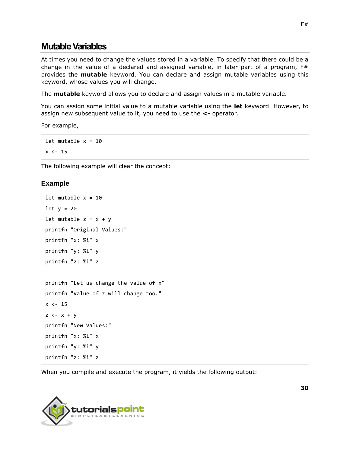## **Mutable Variables**

At times you need to change the values stored in a variable. To specify that there could be a change in the value of a declared and assigned variable, in later part of a program,  $F#$ provides the **mutable** keyword. You can declare and assign mutable variables using this keyword, whose values you will change.

The **mutable** keyword allows you to declare and assign values in a mutable variable.

You can assign some initial value to a mutable variable using the **let** keyword. However, to assign new subsequent value to it, you need to use the **<-** operator.

For example,

let mutable  $x = 10$  $x \leftarrow 15$ 

The following example will clear the concept:

#### **Example**

```
let mutable x = 10let y = 20let mutable z = x + yprintfn "Original Values:" 
printfn "x: %i" x
printfn "y: %i" y
printfn "z: %i" z
printfn "Let us change the value of x" 
printfn "Value of z will change too." 
x \leftarrow 15z \leftarrow x + yprintfn "New Values:" 
printfn "x: %i" x
printfn "y: %i" y
printfn "z: %i" z
```
When you compile and execute the program, it yields the following output:

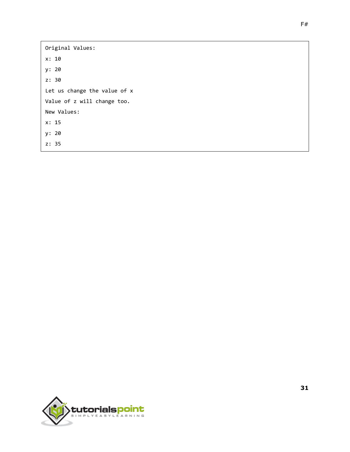Original Values: x: 10 y: 20 z: 30 Let us change the value of x Value of z will change too. New Values: x: 15 y: 20 z: 35

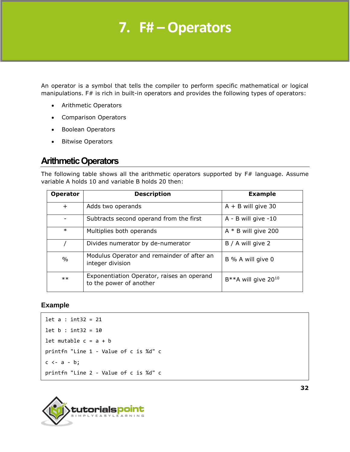## **7. F# – Operators**

An operator is a symbol that tells the compiler to perform specific mathematical or logical manipulations. F# is rich in built-in operators and provides the following types of operators:

- Arithmetic Operators
- Comparison Operators
- Boolean Operators
- Bitwise Operators

## **Arithmetic Operators**

The following table shows all the arithmetic operators supported by F# language. Assume variable A holds 10 and variable B holds 20 then:

| <b>Operator</b> | <b>Description</b>                                                    | <b>Example</b>                     |
|-----------------|-----------------------------------------------------------------------|------------------------------------|
| $\ddot{}$       | Adds two operands                                                     | $A + B$ will give 30               |
|                 | Subtracts second operand from the first                               | $A - B$ will give $-10$            |
| $\ast$          | Multiplies both operands                                              | $A * B$ will give 200              |
|                 | Divides numerator by de-numerator                                     | B / A will give 2                  |
| $\%$            | Modulus Operator and remainder of after an<br>integer division        | B % A will give 0                  |
| $***$           | Exponentiation Operator, raises an operand<br>to the power of another | $B***A$ will give 20 <sup>10</sup> |

#### **Example**

```
let a : int32 = 21
let b : int32 = 10
let mutable c = a + bprintfn "Line 1 - Value of c is %d" c 
c \leftarrow a - b;printfn "Line 2 - Value of c is %d" c
```
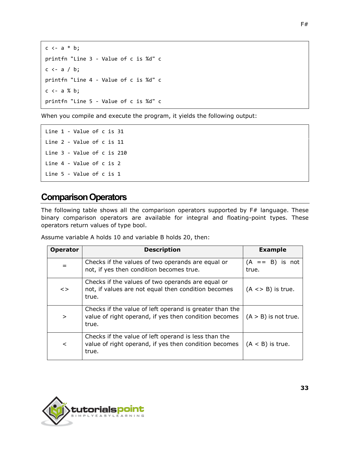```
c \leftarrow a * b;printfn "Line 3 - Value of c is %d" c 
c \leftarrow a / b;printfn "Line 4 - Value of c is %d" c 
c \leftarrow a \times b;printfn "Line 5 - Value of c is %d" c
```
Line 1 - Value of c is 31 Line 2 - Value of c is 11 Line 3 - Value of c is 210 Line 4 - Value of c is 2 Line 5 - Value of c is 1

## **Comparison Operators**

The following table shows all the comparison operators supported by F# language. These binary comparison operators are available for integral and floating-point types. These operators return values of type bool.

Assume variable A holds 10 and variable B holds 20, then:

| <b>Operator</b> | <b>Description</b>                                                                                                        | <b>Example</b>             |
|-----------------|---------------------------------------------------------------------------------------------------------------------------|----------------------------|
|                 | Checks if the values of two operands are equal or<br>not, if yes then condition becomes true.                             | $(A == B)$ is not<br>true. |
| $\leq$          | Checks if the values of two operands are equal or<br>not, if values are not equal then condition becomes<br>true.         | $(A \leq B)$ is true.      |
| $\geq$          | Checks if the value of left operand is greater than the<br>value of right operand, if yes then condition becomes<br>true. | $(A > B)$ is not true.     |
| $\prec$         | Checks if the value of left operand is less than the<br>value of right operand, if yes then condition becomes<br>true.    | $(A < B)$ is true.         |

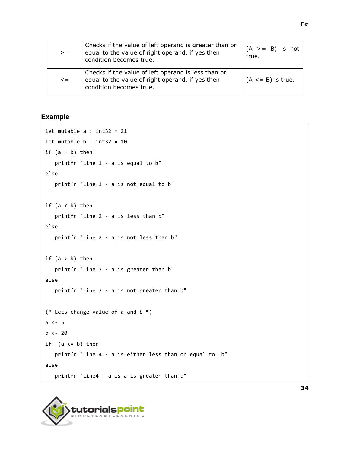| $>=$       | Checks if the value of left operand is greater than or<br>equal to the value of right operand, if yes then<br>condition becomes true. | $(A \ge B)$ is not<br>true. |
|------------|---------------------------------------------------------------------------------------------------------------------------------------|-----------------------------|
| $\leq$ $=$ | Checks if the value of left operand is less than or<br>equal to the value of right operand, if yes then<br>condition becomes true.    | $(A \leq B)$ is true.       |

#### **Example**

```
let mutable a : int32 = 21let mutable b : int32 = 10if (a = b) then
    printfn "Line 1 - a is equal to b" 
else
    printfn "Line 1 - a is not equal to b" 
if (a < b) then
    printfn "Line 2 - a is less than b" 
else
    printfn "Line 2 - a is not less than b" 
if (a > b) then
    printfn "Line 3 - a is greater than b" 
else
    printfn "Line 3 - a is not greater than b" 
(* Lets change value of a and b *)
a <- 5
b \le -20if (a \leq b) then
    printfn "Line 4 - a is either less than or equal to b"
else
    printfn "Line4 - a is a is greater than b"
```
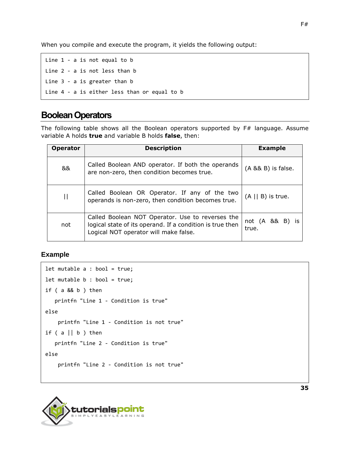Line 1 - a is not equal to b Line 2 - a is not less than b Line 3 - a is greater than b Line 4 - a is either less than or equal to b

## **Boolean Operators**

The following table shows all the Boolean operators supported by F# language. Assume variable A holds **true** and variable B holds **false**, then:

| <b>Operator</b>       | <b>Description</b>                                                                                                                                     | <b>Example</b>           |
|-----------------------|--------------------------------------------------------------------------------------------------------------------------------------------------------|--------------------------|
| &&                    | Called Boolean AND operator. If both the operands<br>are non-zero, then condition becomes true.                                                        | (A && B) is false.       |
| $\mathbf{\mathsf{H}}$ | Called Boolean OR Operator. If any of the two<br>operands is non-zero, then condition becomes true.                                                    | $(A \mid B)$ is true.    |
| not                   | Called Boolean NOT Operator. Use to reverses the<br>logical state of its operand. If a condition is true then<br>Logical NOT operator will make false. | not (A && B) is<br>true. |

#### **Example**

```
let mutable a : bool = true;
let mutable b : bool = true;
if ( a && b ) then
    printfn "Line 1 - Condition is true" 
else
     printfn "Line 1 - Condition is not true" 
if (a || b) then
    printfn "Line 2 - Condition is true" 
else
     printfn "Line 2 - Condition is not true"
```
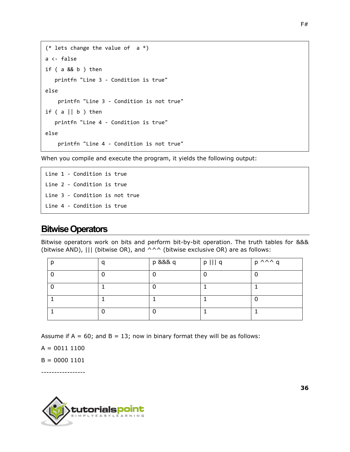```
(* lets change the value of a *)
a <- false
if ( a && b ) then
    printfn "Line 3 - Condition is true" 
else
     printfn "Line 3 - Condition is not true" 
if (a || b) then
    printfn "Line 4 - Condition is true" 
else
     printfn "Line 4 - Condition is not true"
```
Line 1 - Condition is true Line 2 - Condition is true Line 3 - Condition is not true Line 4 - Condition is true

### **Bitwise Operators**

Bitwise operators work on bits and perform bit-by-bit operation. The truth tables for &&& (bitwise AND),  $|||$  (bitwise OR), and  $\wedge \wedge \wedge$  (bitwise exclusive OR) are as follows:

|  | p &&& q | $p$     $q$ | $p \wedge \wedge \wedge q$ |
|--|---------|-------------|----------------------------|
|  |         |             |                            |
|  |         |             |                            |
|  |         |             |                            |
|  |         |             |                            |

Assume if  $A = 60$ ; and  $B = 13$ ; now in binary format they will be as follows:

 $A = 00111100$ 

 $B = 0000 1101$ 

-----------------

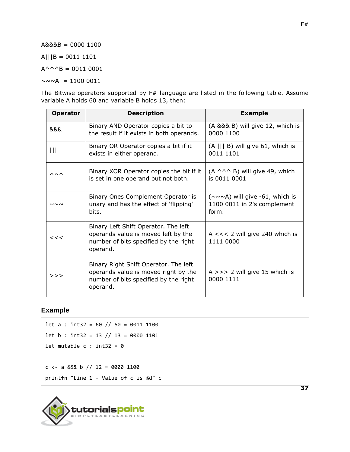A&&&B = 0000 1100

A|||B = 0011 1101

 $A^{\wedge \wedge \wedge}B = 0011 0001$ 

 $\sim \sim \sim A$  = 1100 0011

The Bitwise operators supported by F# language are listed in the following table. Assume variable A holds 60 and variable B holds 13, then:

| <b>Operator</b>        | <b>Description</b>                                                                                                                 | <b>Example</b>                                                                       |
|------------------------|------------------------------------------------------------------------------------------------------------------------------------|--------------------------------------------------------------------------------------|
| &&&                    | Binary AND Operator copies a bit to<br>the result if it exists in both operands.                                                   | (A &&& B) will give 12, which is<br>0000 1100                                        |
| Ш                      | Binary OR Operator copies a bit if it<br>exists in either operand.                                                                 | $(A    B)$ will give 61, which is<br>0011 1101                                       |
| $\wedge \wedge \wedge$ | Binary XOR Operator copies the bit if it<br>is set in one operand but not both.                                                    | $(A \wedge^A \wedge B)$ will give 49, which<br>is 0011 0001                          |
| $\sim\sim\sim$         | Binary Ones Complement Operator is<br>unary and has the effect of 'flipping'<br>bits.                                              | $(\sim \sim \sim A)$ will give -61, which is<br>1100 0011 in 2's complement<br>form. |
| <<                     | Binary Left Shift Operator. The left<br>operands value is moved left by the<br>number of bits specified by the right<br>operand.   | A $<<$ 2 will give 240 which is<br>1111 0000                                         |
| >>                     | Binary Right Shift Operator. The left<br>operands value is moved right by the<br>number of bits specified by the right<br>operand. | A $>>$ 2 will give 15 which is<br>0000 1111                                          |

#### **Example**

```
let a : int32 = 60 // 60 = 0011 1100
let b : int32 = 13 // 13 = 0000 1101
let mutable c : int32 = 0c <- a &&& b // 12 = 0000 1100
printfn "Line 1 - Value of c is %d" c
```


**37**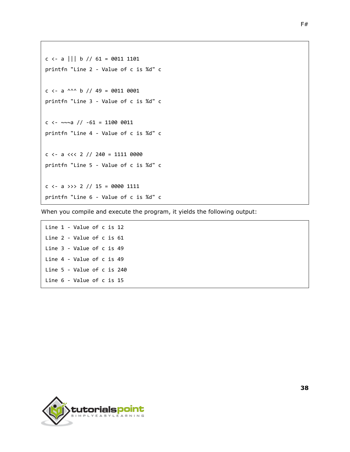```
c <- a ||| b // 61 = 0011 1101
printfn "Line 2 - Value of c is %d" c
c <- a ^^^ b // 49 = 0011 0001
printfn "Line 3 - Value of c is %d" c
c <- ~~~a // -61 = 1100 0011
printfn "Line 4 - Value of c is %d" c
c \leftarrow a \leftarrow 2 // 240 = 1111 0000printfn "Line 5 - Value of c is %d" c
c <- a >>> 2 // 15 = 0000 1111
printfn "Line 6 - Value of c is %d" c
```
Line 1 - Value of c is 12 Line 2 - Value of c is 61 Line 3 - Value of c is 49 Line 4 - Value of c is 49 Line 5 - Value of c is 240 Line 6 - Value of c is 15



**38**